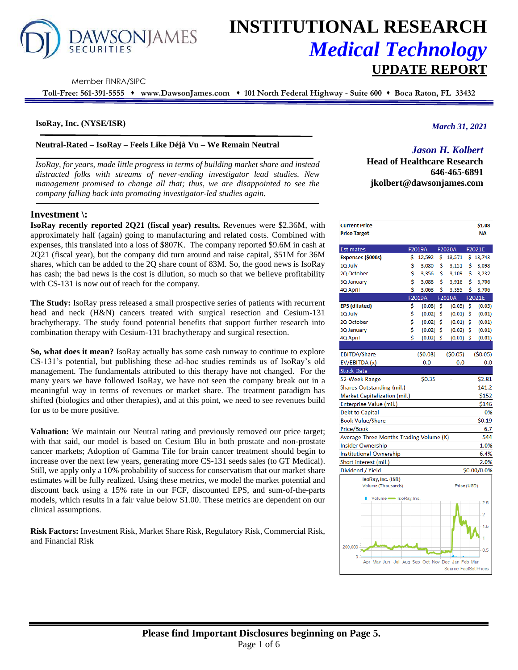

# **INSTITUTIONAL RESEARCH** *Medical Technology* **UPDATE REPORT**

Member FINRA/SIPC

**Toll-Free: 561-391-5555** ⬧ **www.DawsonJames.com** ⬧ **101 North Federal Highway - Suite 600** ⬧ **Boca Raton, FL 33432**

## **IsoRay, Inc. (NYSE/ISR)**

## **Neutral-Rated – IsoRay – Feels Like Déjà Vu – We Remain Neutral**

*IsoRay, for years, made little progress in terms of building market share and instead distracted folks with streams of never-ending investigator lead studies. New management promised to change all that; thus, we are disappointed to see the company falling back into promoting investigator-led studies again.*

# **Investment \:**

**IsoRay recently reported 2Q21 (fiscal year) results.** Revenues were \$2.36M, with approximately half (again) going to manufacturing and related costs. Combined with expenses, this translated into a loss of \$807K. The company reported \$9.6M in cash at 2Q21 (fiscal year), but the company did turn around and raise capital, \$51M for 36M shares, which can be added to the 2Q share count of 83M. So, the good news is IsoRay has cash; the bad news is the cost is dilution, so much so that we believe profitability with CS-131 is now out of reach for the company.

**The Study:** IsoRay press released a small prospective series of patients with recurrent head and neck (H&N) cancers treated with surgical resection and Cesium-131 brachytherapy. The study found potential benefits that support further research into combination therapy with Cesium-131 brachytherapy and surgical resection.

**So, what does it mean?** IsoRay actually has some cash runway to continue to explore CS-131's potential, but publishing these ad-hoc studies reminds us of IsoRay's old management. The fundamentals attributed to this therapy have not changed. For the many years we have followed IsoRay, we have not seen the company break out in a meaningful way in terms of revenues or market share. The treatment paradigm has shifted (biologics and other therapies), and at this point, we need to see revenues build for us to be more positive.

**Valuation:** We maintain our Neutral rating and previously removed our price target; with that said, our model is based on Cesium Blu in both prostate and non-prostate cancer markets; Adoption of Gamma Tile for brain cancer treatment should begin to increase over the next few years, generating more CS-131 seeds sales (to GT Medical). Still, we apply only a 10% probability of success for conservatism that our market share estimates will be fully realized. Using these metrics, we model the market potential and discount back using a 15% rate in our FCF, discounted EPS, and sum-of-the-parts models, which results in a fair value below \$1.00. These metrics are dependent on our clinical assumptions.

**Risk Factors:** Investment Risk, Market Share Risk, Regulatory Risk, Commercial Risk, and Financial Risk

*March 31, 2021*

# *Jason H. Kolbert*

**Head of Healthcare Research 646-465-6891 jkolbert@dawsonjames.com**

| <b>Current Price</b><br><b>Price Target</b>                     |    |             |    |                        |     | \$1.08<br><b>NA</b> |
|-----------------------------------------------------------------|----|-------------|----|------------------------|-----|---------------------|
| Estimates                                                       |    | F2019A      |    | F2020A                 |     | F2021E              |
| Expenses (\$000s)                                               | \$ | 12,592      | \$ | 13,571                 | \$. | 13,743              |
| <b>IQ July</b>                                                  | \$ | 3,080       | \$ | 3,151                  | \$  | 3,098               |
| 2Q October                                                      | \$ | 3,356       | \$ | 3,109                  | \$  | 3,232               |
| <b>3Q January</b>                                               | \$ | 3,088       | \$ | 3,916                  | \$  | 3,706               |
| 4Q April                                                        | Ś  | 3,068       | Ś  | 3,395                  | Ś   | 3,706               |
|                                                                 |    | F2019A      |    | F2020A                 |     | F2021E              |
| EPS (diluted)                                                   | \$ | (0.08)      | \$ | (0.05)                 | \$  | (0.05)              |
| <b>IQ July</b>                                                  | \$ | (0.02)      | \$ | (0.01)                 | \$  | (0.01)              |
| 2Q October                                                      | \$ | (0.02)      | \$ | (0.01)                 | \$  | (0.01)              |
| <b>3Q January</b>                                               | \$ | (0.02)      | \$ | (0.02)                 | Ś   | (0.01)              |
| <b>4Q April</b>                                                 | \$ | $(0.02)$ \$ |    | $(0.01)$ \$            |     | (0.01)              |
|                                                                 |    |             |    |                        |     |                     |
| EBITDA/Share                                                    |    | (50.08)     |    | (50.05)                |     | (50.05)             |
| EV/EBITDA (x)                                                   |    | 0.0         |    | 0.0                    |     | 0.0                 |
| Stock Data                                                      |    |             |    |                        |     |                     |
| 52-Week Range                                                   |    | \$0.35      |    |                        |     | \$2.81              |
| Shares Outstanding (mil.)                                       |    |             |    |                        |     | 141.2               |
| Market Capitalization (mil.)                                    |    |             |    |                        |     | \$152               |
| Enterprise Value (mil.)                                         |    |             |    |                        |     | \$146               |
| Debt to Capital                                                 |    |             |    |                        |     | 0%                  |
| Book Value/Share                                                |    |             |    |                        |     | \$0.19              |
| Price/Book                                                      |    |             |    |                        |     | 6.7                 |
| Average Three Months Trading Volume (K)                         |    |             |    |                        |     | 544                 |
| nsider Ownership                                                |    |             |    |                        |     | 1.0%                |
| nstitutional Ownership                                          |    |             |    |                        |     | 6.4%                |
| Short interest (mil.)                                           |    |             |    |                        |     | 2.0%                |
| Dividend / Yield                                                |    |             |    |                        |     | \$0.00/0.0%         |
| IsoRay, Inc. (ISR)<br>Volume (Thousands)                        |    |             |    | Price (USD)            |     |                     |
|                                                                 |    |             |    |                        |     |                     |
| Volume so IsoRay, Inc.                                          |    |             |    |                        |     | 2.5                 |
|                                                                 |    |             |    |                        |     |                     |
|                                                                 |    |             |    |                        |     | $\overline{2}$      |
|                                                                 |    |             |    |                        |     | 1.5                 |
|                                                                 |    |             |    |                        |     | 1                   |
|                                                                 |    |             |    |                        |     |                     |
| 200,000                                                         |    |             |    |                        |     | 0.5                 |
| $\mathbf{0}$<br>Apr May Jun Jul Aug Sep Oct Nov Dec Jan Feb Mar |    |             |    |                        |     |                     |
|                                                                 |    |             |    | Source: FactSet Prices |     |                     |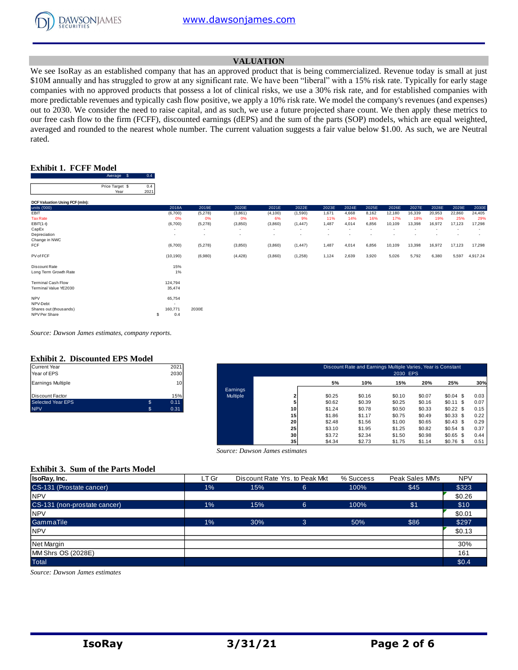

## **VALUATION**

We see IsoRay as an established company that has an approved product that is being commercialized. Revenue today is small at just \$10M annually and has struggled to grow at any significant rate. We have been "liberal" with a 15% risk rate. Typically for early stage companies with no approved products that possess a lot of clinical risks, we use a 30% risk rate, and for established companies with more predictable revenues and typically cash flow positive, we apply a 10% risk rate. We model the company's revenues (and expenses) out to 2030. We consider the need to raise capital, and as such, we use a future projected share count. We then apply these metrics to our free cash flow to the firm (FCFF), discounted earnings (dEPS) and the sum of the parts (SOP) models, which are equal weighted, averaged and rounded to the nearest whole number. The current valuation suggests a fair value below \$1.00. As such, we are Neutral rated.

## **Exhibit 1. FCFF Model**

Average \$ 0.4

|                                | Price Target \$ | 0.4  |                          |                          |          |                          |          |                          |       |       |        |        |        |        |          |
|--------------------------------|-----------------|------|--------------------------|--------------------------|----------|--------------------------|----------|--------------------------|-------|-------|--------|--------|--------|--------|----------|
|                                | Year            | 2021 |                          |                          |          |                          |          |                          |       |       |        |        |        |        |          |
|                                |                 |      |                          |                          |          |                          |          |                          |       |       |        |        |        |        |          |
| DCF Valuation Using FCF (mln): |                 |      |                          |                          |          |                          |          |                          |       |       |        |        |        |        |          |
| units ('000)                   |                 |      | 2018A                    | 2019E                    | 2020E    | 2021E                    | 2022E    | 2023E                    | 2024E | 2025E | 2026E  | 2027E  | 2028E  | 2029E  | 2030E    |
| EBIT                           |                 |      | (6,700)                  | (5,278)                  | (3,861)  | (4, 100)                 | (1,590)  | 1,671                    | 4,668 | 8,162 | 12,180 | 16,339 | 20,953 | 22,860 | 24,405   |
| <b>Tax Rate</b>                |                 |      | 0%                       | 0%                       | 0%       | 6%                       | 9%       | 11%                      | 14%   | 16%   | 17%    | 18%    | 19%    | 25%    | 29%      |
| $EBIT(1-t)$                    |                 |      | (6,700)                  | (5,278)                  | (3,850)  | (3,860)                  | (1, 447) | 1,487                    | 4,014 | 6,856 | 10,109 | 13,398 | 16,972 | 17,123 | 17,298   |
| CapEx                          |                 |      | $\overline{\phantom{a}}$ | $\overline{\phantom{a}}$ | ٠        |                          |          | $\overline{\phantom{a}}$ |       |       |        |        |        |        |          |
| Depreciation                   |                 |      | $\overline{\phantom{a}}$ | $\overline{\phantom{a}}$ | ٠        | $\overline{\phantom{a}}$ |          |                          |       |       |        |        |        |        | ٠        |
| Change in NWC                  |                 |      |                          |                          |          |                          |          |                          |       |       |        |        |        |        |          |
| <b>FCF</b>                     |                 |      | (6,700)                  | (5,278)                  | (3,850)  | (3,860)                  | (1, 447) | 1,487                    | 4,014 | 6,856 | 10,109 | 13,398 | 16,972 | 17,123 | 17,298   |
| PV of FCF                      |                 |      | (10, 190)                | (6,980)                  | (4, 428) | (3,860)                  | (1,258)  | 1,124                    | 2,639 | 3,920 | 5,026  | 5,792  | 6,380  | 5,597  | 4,917.24 |
| Discount Rate                  |                 |      | 15%                      |                          |          |                          |          |                          |       |       |        |        |        |        |          |
| Long Term Growth Rate          |                 |      | 1%                       |                          |          |                          |          |                          |       |       |        |        |        |        |          |
| <b>Terminal Cash Flow</b>      |                 |      | 124,794                  |                          |          |                          |          |                          |       |       |        |        |        |        |          |
| Terminal Value YE2030          |                 |      | 35,474                   |                          |          |                          |          |                          |       |       |        |        |        |        |          |
| <b>NPV</b>                     |                 |      | 65,754                   |                          |          |                          |          |                          |       |       |        |        |        |        |          |
| NPV-Debt                       |                 |      | $\sim$                   |                          |          |                          |          |                          |       |       |        |        |        |        |          |
| Shares out (thousands)         |                 |      | 160,771                  | 2030E                    |          |                          |          |                          |       |       |        |        |        |        |          |
| NPV Per Share                  |                 | s    | 0.4                      |                          |          |                          |          |                          |       |       |        |        |        |        |          |

*Source: Dawson James estimates, company reports.*

#### **Exhibit 2. Discounted EPS Model**

| <b>NPV</b>              | \$. | 0.31 |
|-------------------------|-----|------|
| Selected Year EPS       | \$. | 0.11 |
| <b>IDiscount Factor</b> |     | 15%  |
| Earnings Multiple       |     | 10   |
| Year of EPS             |     | 2030 |
| Current Year            |     | 2021 |

| Current Year<br>Year of EPS | 2021<br>2030 |                 | Discount Rate and Earnings Multiple Varies, Year is Constant |        |        |        |        |             |      |  |  |
|-----------------------------|--------------|-----------------|--------------------------------------------------------------|--------|--------|--------|--------|-------------|------|--|--|
|                             |              |                 | 2030 EPS                                                     |        |        |        |        |             |      |  |  |
| Earnings Multiple           | 10           |                 |                                                              | 5%     | 10%    | 15%    | 20%    | 25%         | 30%  |  |  |
|                             |              | Earnings        |                                                              |        |        |        |        |             |      |  |  |
| Discount Factor             | 15%          | <b>Multiple</b> |                                                              | \$0.25 | \$0.16 | \$0.10 | \$0.07 | $$0.04$ \$  | 0.03 |  |  |
| Selected Year EPS           | \$<br>0.11   |                 |                                                              | \$0.62 | \$0.39 | \$0.25 | \$0.16 | $$0.11$ \$  | 0.07 |  |  |
| <b>NPV</b>                  | 0.31         |                 | 10                                                           | \$1.24 | \$0.78 | \$0.50 | \$0.33 | \$0.22\$    | 0.15 |  |  |
|                             |              |                 | 15                                                           | \$1.86 | \$1.17 | \$0.75 | \$0.49 | $$0.33$$ \$ | 0.22 |  |  |
|                             |              |                 | 20                                                           | \$2.48 | \$1.56 | \$1.00 | \$0.65 | \$0.43\$    | 0.29 |  |  |
|                             |              |                 | 25 <sub>l</sub>                                              | \$3.10 | \$1.95 | \$1.25 | \$0.82 | $$0.54$ \$  | 0.37 |  |  |
|                             |              |                 | 30                                                           | \$3.72 | \$2.34 | \$1.50 | \$0.98 | $$0.65$ \$  | 0.44 |  |  |
|                             |              |                 | 35                                                           | \$4.34 | \$2.73 | \$1.75 | \$1.14 | $$0.76$ \$  | 0.51 |  |  |

 *Source: Dawson James estimates*

#### **Exhibit 3. Sum of the Parts Model**

| IsoRay, Inc.                 | LT Gr | Discount Rate Yrs, to Peak Mkt |                | Peak Sales MM's<br>% Success |      | <b>NPV</b> |
|------------------------------|-------|--------------------------------|----------------|------------------------------|------|------------|
| CS-131 (Prostate cancer)     | $1\%$ | 15%                            | 6              | 100%                         | \$45 | \$323      |
| <b>NPV</b>                   |       |                                |                |                              |      | \$0.26     |
| CS-131 (non-prostate cancer) | 1%    | 15%                            | 6              | 100%                         | \$1  | \$10       |
| <b>NPV</b>                   |       |                                |                |                              |      | \$0.01     |
| GammaTile                    | 1%    | 30%                            | $\overline{3}$ | 50%                          | \$86 | \$297      |
| <b>NPV</b>                   |       |                                |                |                              |      | \$0.13     |
| <b>Net Margin</b>            |       |                                |                |                              |      | 30%        |
| MM Shrs OS (2028E)           |       |                                |                |                              |      | 161        |
| Total                        |       |                                |                |                              |      | \$0.4      |

*Source: Dawson James estimates*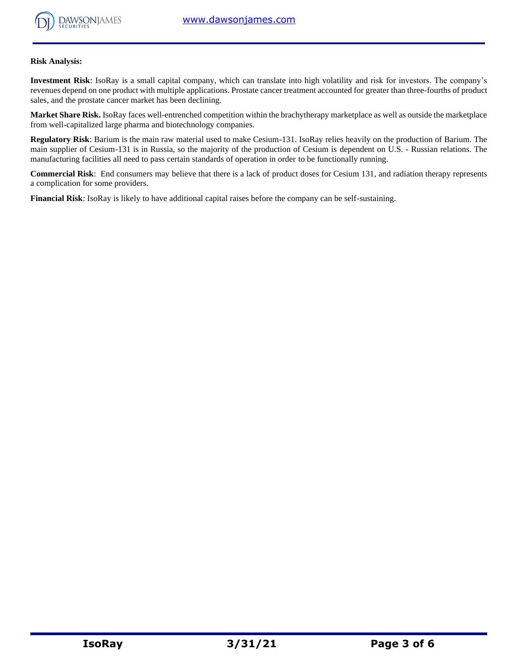

#### **Risk Analysis:**

**Investment Risk**: IsoRay is a small capital company, which can translate into high volatility and risk for investors. The company's revenues depend on one product with multiple applications. Prostate cancer treatment accounted for greater than three-fourths of product sales, and the prostate cancer market has been declining.

**Market Share Risk.** IsoRay faces well-entrenched competition within the brachytherapy marketplace as well as outside the marketplace from well-capitalized large pharma and biotechnology companies.

**Regulatory Risk**: Barium is the main raw material used to make Cesium-131. IsoRay relies heavily on the production of Barium. The main supplier of Cesium-131 is in Russia, so the majority of the production of Cesium is dependent on U.S. - Russian relations. The manufacturing facilities all need to pass certain standards of operation in order to be functionally running.

**Commercial Risk**: End consumers may believe that there is a lack of product doses for Cesium 131, and radiation therapy represents a complication for some providers.

**Financial Risk**: IsoRay is likely to have additional capital raises before the company can be self-sustaining.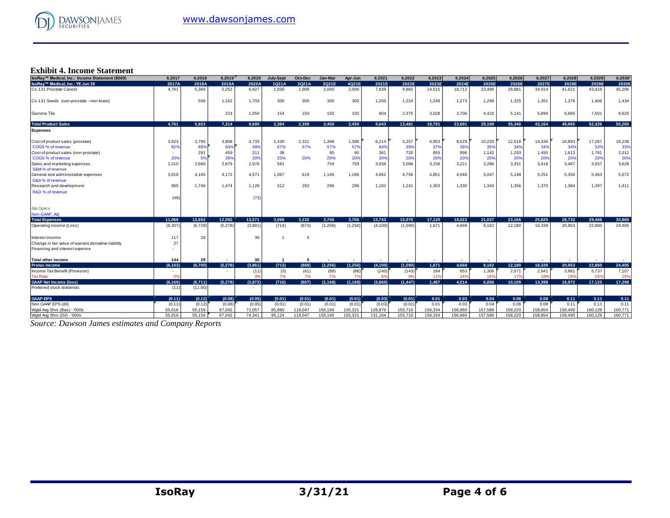

# **Exhibit 4. Income Statement**

| IsoRay™ Medical, Inc.: Income Statement (\$000)      | 6.2017          | 6.2018  | 6.2019   | 6.2020         | <b>July-Sept</b> | Oct-Dec | Jan-Mar  | Apr-Jun  | 6.2021   | 6.2022   | 6.2023  | 6.2024  | 6.2025  | 6.2026  | 6.2027  | 6.2028  | 6.2029  | 6.2030  |
|------------------------------------------------------|-----------------|---------|----------|----------------|------------------|---------|----------|----------|----------|----------|---------|---------|---------|---------|---------|---------|---------|---------|
| IsoRay™ Medical, Inc.: YE Jun 30                     | 2017A           | 2018A   | 2019A    | 2020A          | 1Q21A            | 2Q21A   | 3Q21E    | 4Q21E    | 2021E    | 2022E    | 2023E   | 2024E   | 2025E   | 2026E   | 2027E   | 2028E   | 2029E   | 2030E   |
| Cs-131 Prostate Cancer                               | 4.761           | 5.369   | 5,252    | 6,927          | 1,930            | 1,909   | 2,000    | 2,000    | 7,839    | 9,882    | 14,515  | 18,712  | 23.490  | 28,881  | 34.914  | 41,621  | 43.419  | 45,206  |
| Cs-131 Seeds (non-prostate - non-brain)              |                 | 506     | 1,162    | 1.703          | 300              | 300     | 300      | 300      | 1,200    | 1,224    | 1.248   | 1,273   | 1.299   | 1,325   | 1,351   | 1.378   | 1.406   | 1,434   |
| Gamma Tile                                           |                 |         | 224      | 1,050          | 154              | 150     | 150      | 150      | 604      | 2,375    | 3,028   | 3,706   | 4.410   | 5,141   | 5,899   | 6,685   | 7,501   | 8,625   |
| <b>Total Product Sales</b>                           | 4.761           | 5.923   | 7,314    | 9,680          | 2.384            | 2.359   | 2.450    | 2.450    | 9,643    | 13,481   | 18.791  | 23,691  | 29.199  | 35.346  | 42,164  | 49.685  | 52.326  | 55.265  |
| <b>Expenses</b>                                      |                 |         |          |                |                  |         |          |          |          |          |         |         |         |         |         |         |         |         |
| Cost of product sales (prostate)                     | 3,923           | 3.790   | 3,808    | 4,733          | 1,100            | 2,321   | 1,396    | 1,396    | 6,214    | 5,257    | 6,953   | 8,529   | 10,220  | 12,018  | 14,336  | 16,893  | 17,267  | 18,238  |
| COGS % of revenue                                    | 82%             | 68%     | 64%      | 49%            | 57%              | 57%     | 57%      | 57%      | 64%      | 39%      | 37%     | 36%     | 35%     | 34%     | 34%     | 34%     | 33%     | 33%     |
| Cost of product sales (non-prostate)                 |                 | 291     | 459      | 311            | 38               |         | 90       | 90       | 361      | 720      | 855     | 996     | 1,142   | 1,293   | 1,450   | 1,613   | 1,781   | 2,012   |
| COGS % of revenue                                    | 20 <sup>6</sup> |         | 28%      | 20%            | 25%              | 20%     | 20%      | 20%      | 20%      | 20%      | 20%     | 20%     | 20%     | 20%     | 20%     | 20%     | 20%     | 20%     |
| Sales and marketing expenses                         | 2,310           | 2.660   | 2.679    | 2.976          | 581              |         | 759      | 759      | 3.036    | 3.096    | 3.158   | 3.221   | 3.286   | 3,351   | 3.418   | 3.487   | 3.557   | 3,628   |
| S&M% of revenue                                      |                 |         |          |                |                  |         |          |          |          |          |         |         |         |         |         |         |         |         |
| General and administrative expenses                  | 3,918           | 4.165   | 4.172    | 4.571          | 1.067            | 619     | 1.166    | 1,166    | 4.662    | 4.756    | 4,851   | 4.948   | 5.047   | 5.148   | 5,251   | 5.356   | 5.463   | 5,572   |
| G&A% of revenue                                      |                 |         |          |                |                  |         |          |          |          |          |         |         |         |         |         |         |         |         |
| Research and development                             | 965             | 1.746   | 1.474    | 1.126          | 312              | 292     | 296      | 296      | 1,182    | 1.241    | 1.303   | 1.330   | 1.343   | 1,356   | 1.370   | 1.384   | 1.397   | 1,411   |
| R&D % of revenue                                     |                 |         |          |                |                  |         |          |          |          |          |         |         |         |         |         |         |         |         |
|                                                      | (48)            |         |          | (73)           |                  |         |          |          |          |          |         |         |         |         |         |         |         |         |
| <b>Stk Optn's</b>                                    |                 |         |          |                |                  |         |          |          |          |          |         |         |         |         |         |         |         |         |
| Non-GAAP, Adj                                        |                 |         |          |                |                  |         |          |          |          |          |         |         |         |         |         |         |         |         |
| <b>Total Expenses</b>                                | 11.068          | 12.652  | 12.592   | 13.571         | 3.098            | 3.232   | 3.706    | 3.706    | 13.743   | 15.070   | 17.120  | 19.023  | 21.037  | 23.166  | 25.825  | 28.732  | 29.466  | 30,860  |
| Operating income (Loss)                              | (6, 307)        | (6.729) | (5,278)  | (3,891)        | (714)            | (873)   | (1, 256) | (1, 256) | (4, 100) | (1,590)  | 1.671   | 4.668   | 8.162   | 12.180  | 16.339  | 20.953  | 22,860  | 24,405  |
| Interest income                                      | 117             | 29      |          | 30             |                  | 5       |          |          |          |          |         |         |         |         |         |         |         |         |
| Change in fair value of warrant derivative liability | 27              |         |          |                |                  |         |          |          |          |          |         |         |         |         |         |         |         |         |
| Financing and interest expense                       |                 |         |          |                |                  |         |          |          |          |          |         |         |         |         |         |         |         |         |
| <b>Total other income</b>                            | 144             | 29      |          | 30             |                  | -5      |          |          |          |          |         |         |         |         |         |         |         |         |
| <b>Pretax Income</b>                                 | (6, 163)        | (6.700) | (5, 278) | (3,861)        | (713)            | (868)   | (1.256)  | (1.256)  | (4, 100) | (1,590)  | 1,671   | 4.668   | 8.162   | 12.180  | 16.339  | 20.953  | 22.860  | 24,405  |
| Income Tax Benefit (Provision)                       |                 |         |          | (11)           | (3)              | (61)    | (88)     | (88)     | (240)    | (143)    | 184     | 653     | 1,306   | 2.071   | 2,941   | 3,981   | 5.737   | 7,107   |
| <b>Tax Rate</b>                                      |                 |         |          | 0 <sup>9</sup> | 7%               | 7%      | 7%       | 7%       | 6%       |          | 119     | 14%     | 16%     | 17%     | 18%     | 19%     | 25%     | 29%     |
| <b>GAAP Net Income (loss)</b>                        | (6, 166)        | (6,711) | (5.278)  | (3,872)        | (716)            | (807)   | (1, 168) | (1, 168) | (3,860)  | (1, 447) | 1.487   | 4,014   | 6.856   | 10.109  | 13.398  | 16.972  | 17.123  | 17.298  |
| Preferred stock dividends                            | (11)            | (11.00) |          |                |                  |         |          |          |          |          |         |         |         |         |         |         |         |         |
| <b>GAAP-EPS</b>                                      | (0.11)          | (0.12)  | (0.08)   | (0.05)         | (0.01)           | (0.01)  | (0.01)   | (0.01)   | (0.03)   | (0.01)   | 0.01    | 0.03    | 0.04    | 0.06    | 0.08    | 0.11    | 0.11    | 0.11    |
| Non GAAP EPS (dil)                                   | (0.11)          | (0.12)  | (0.08)   | (0.05)         | (0.01)           | (0.01)  | (0.01)   | (0.01)   | (0.03)   | (0.01)   | 0.01    | 0.03    | 0.04    | 0.06    | 0.08    | 0.11    | 0.11    | 0.11    |
| Wgtd Avg Shrs (Bas) - '000s                          | 55.016          | 55.159  | 67.042   | 72.057         | 85,980           | 119,047 | 155.166  | 155.321  | 128,879  | 155,710  | 156,334 | 156.960 | 157.589 | 158.220 | 158,854 | 159.490 | 160.129 | 160.771 |
| Wgtd Avg Shrs (Dil) - '000s                          | 55.016          | 55.159  | 67.042   | 74.341         | 95.124           | 119.047 | 155.166  | 155,321  | 131,164  | 155.710  | 156.334 | 156,960 | 157.589 | 158.220 | 158.854 | 159.490 | 160.129 | 160.771 |

*Source: Dawson James estimates and Company Reports*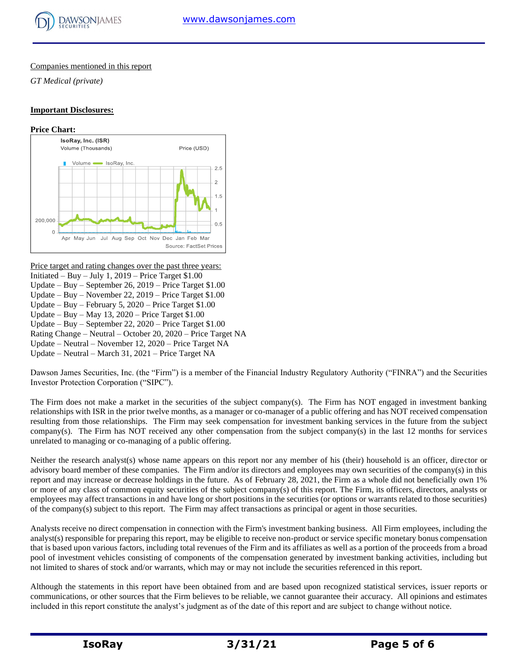

## Companies mentioned in this report

*GT Medical (private)*

## **Important Disclosures:**

#### **Price Chart:**



Price target and rating changes over the past three years: Initiated – Buy – July 1,  $2019$  – Price Target \$1.00 Update – Buy – September 26, 2019 – Price Target \$1.00 Update – Buy – November 22, 2019 – Price Target \$1.00 Update – Buy – February 5, 2020 – Price Target \$1.00 Update – Buy – May 13,  $2020$  – Price Target \$1.00 Update – Buy – September 22, 2020 – Price Target \$1.00 Rating Change – Neutral – October 20, 2020 – Price Target NA Update – Neutral – November 12, 2020 – Price Target NA Update – Neutral – March 31, 2021 – Price Target NA

Dawson James Securities, Inc. (the "Firm") is a member of the Financial Industry Regulatory Authority ("FINRA") and the Securities Investor Protection Corporation ("SIPC").

The Firm does not make a market in the securities of the subject company(s). The Firm has NOT engaged in investment banking relationships with ISR in the prior twelve months, as a manager or co-manager of a public offering and has NOT received compensation resulting from those relationships. The Firm may seek compensation for investment banking services in the future from the subject company(s). The Firm has NOT received any other compensation from the subject company(s) in the last 12 months for services unrelated to managing or co-managing of a public offering.

Neither the research analyst(s) whose name appears on this report nor any member of his (their) household is an officer, director or advisory board member of these companies. The Firm and/or its directors and employees may own securities of the company(s) in this report and may increase or decrease holdings in the future. As of February 28, 2021, the Firm as a whole did not beneficially own 1% or more of any class of common equity securities of the subject company(s) of this report. The Firm, its officers, directors, analysts or employees may affect transactions in and have long or short positions in the securities (or options or warrants related to those securities) of the company(s) subject to this report. The Firm may affect transactions as principal or agent in those securities.

Analysts receive no direct compensation in connection with the Firm's investment banking business. All Firm employees, including the analyst(s) responsible for preparing this report, may be eligible to receive non-product or service specific monetary bonus compensation that is based upon various factors, including total revenues of the Firm and its affiliates as well as a portion of the proceeds from a broad pool of investment vehicles consisting of components of the compensation generated by investment banking activities, including but not limited to shares of stock and/or warrants, which may or may not include the securities referenced in this report.

Although the statements in this report have been obtained from and are based upon recognized statistical services, issuer reports or communications, or other sources that the Firm believes to be reliable, we cannot guarantee their accuracy. All opinions and estimates included in this report constitute the analyst's judgment as of the date of this report and are subject to change without notice.